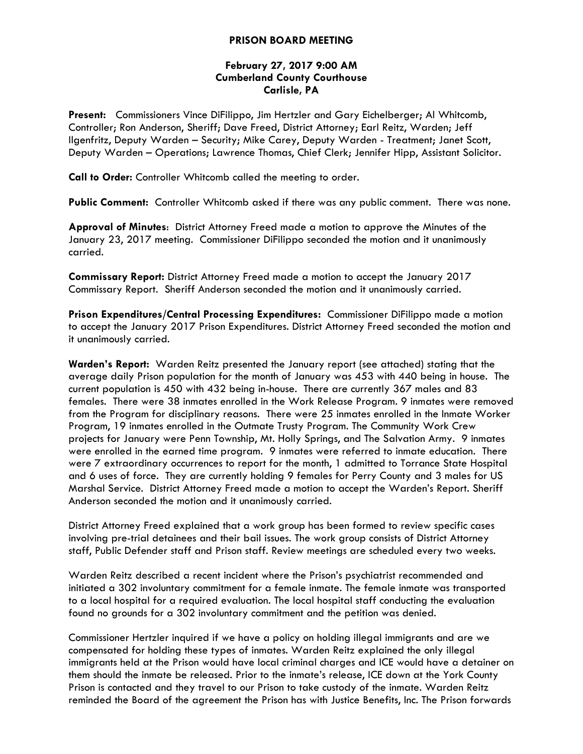### **PRISON BOARD MEETING**

# **February 27, 2017 9:00 AM Cumberland County Courthouse Carlisle, PA**

**Present:** Commissioners Vince DiFilippo, Jim Hertzler and Gary Eichelberger; Al Whitcomb, Controller; Ron Anderson, Sheriff; Dave Freed, District Attorney; Earl Reitz, Warden; Jeff Ilgenfritz, Deputy Warden – Security; Mike Carey, Deputy Warden - Treatment; Janet Scott, Deputy Warden – Operations; Lawrence Thomas, Chief Clerk; Jennifer Hipp, Assistant Solicitor.

**Call to Order:** Controller Whitcomb called the meeting to order.

**Public Comment:** Controller Whitcomb asked if there was any public comment. There was none.

**Approval of Minutes**: District Attorney Freed made a motion to approve the Minutes of the January 23, 2017 meeting. Commissioner DiFilippo seconded the motion and it unanimously carried.

**Commissary Report:** District Attorney Freed made a motion to accept the January 2017 Commissary Report. Sheriff Anderson seconded the motion and it unanimously carried.

**Prison Expenditures/Central Processing Expenditures:** Commissioner DiFilippo made a motion to accept the January 2017 Prison Expenditures. District Attorney Freed seconded the motion and it unanimously carried.

**Warden's Report:** Warden Reitz presented the January report (see attached) stating that the average daily Prison population for the month of January was 453 with 440 being in house. The current population is 450 with 432 being in-house. There are currently 367 males and 83 females. There were 38 inmates enrolled in the Work Release Program. 9 inmates were removed from the Program for disciplinary reasons. There were 25 inmates enrolled in the Inmate Worker Program, 19 inmates enrolled in the Outmate Trusty Program. The Community Work Crew projects for January were Penn Township, Mt. Holly Springs, and The Salvation Army. 9 inmates were enrolled in the earned time program. 9 inmates were referred to inmate education. There were 7 extraordinary occurrences to report for the month, 1 admitted to Torrance State Hospital and 6 uses of force. They are currently holding 9 females for Perry County and 3 males for US Marshal Service. District Attorney Freed made a motion to accept the Warden's Report. Sheriff Anderson seconded the motion and it unanimously carried.

District Attorney Freed explained that a work group has been formed to review specific cases involving pre-trial detainees and their bail issues. The work group consists of District Attorney staff, Public Defender staff and Prison staff. Review meetings are scheduled every two weeks.

Warden Reitz described a recent incident where the Prison's psychiatrist recommended and initiated a 302 involuntary commitment for a female inmate. The female inmate was transported to a local hospital for a required evaluation. The local hospital staff conducting the evaluation found no grounds for a 302 involuntary commitment and the petition was denied.

Commissioner Hertzler inquired if we have a policy on holding illegal immigrants and are we compensated for holding these types of inmates. Warden Reitz explained the only illegal immigrants held at the Prison would have local criminal charges and ICE would have a detainer on them should the inmate be released. Prior to the inmate's release, ICE down at the York County Prison is contacted and they travel to our Prison to take custody of the inmate. Warden Reitz reminded the Board of the agreement the Prison has with Justice Benefits, Inc. The Prison forwards